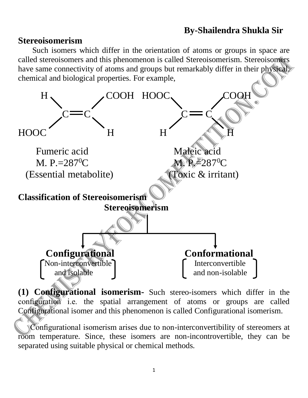## **By-Shailendra Shukla Sir**

## **Stereoisomerism**

 Such isomers which differ in the orientation of atoms or groups in space are called stereoisomers and this phenomenon is called Stereoisomerism. Stereoisomers have same connectivity of atoms and groups but remarkably differ in their physical, chemical and biological properties. For example,



**(1) Configurational isomerism-** Such stereo-isomers which differ in the configuration i.e. the spatial arrangement of atoms or groups are called Configurational isomer and this phenomenon is called Configurational isomerism.

 Configurational isomerism arises due to non-interconvertibility of stereomers at room temperature. Since, these isomers are non-incontrovertible, they can be separated using suitable physical or chemical methods.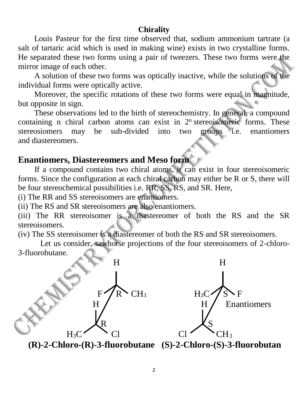## **Chirality**

 Louis Pasteur for the first time observed that, sodium ammonium tartrate (a salt of tartaric acid which is used in making wine) exists in two crystalline forms. He separated these two forms using a pair of tweezers. These two forms were the mirror image of each other.

 A solution of these two forms was optically inactive, while the solutions of the individual forms were optically active.

Moreover, the specific rotations of these two forms were equal in magnitude, but opposite in sign.

These observations led to the birth of stereochemistry. In general, a compound containing n chiral carbon atoms can exist in  $2<sup>n</sup>$  stereoisomeric forms. These stereosiomers may be sub-divided into two groups *i.e.* enantiomers and diastereomers.

## **Enantiomers, Diastereomers and Meso form**

 If a compound contains two chiral atoms, it can exist in four stereoisomeric forms. Since the configuration at each chiral carbon may either be R or S, there will be four stereochemical possibilities i.e. RR, SS, RS, and SR. Here,

(i) The RR and SS stereoisomers are enantiomers.

(ii) The RS and SR stereoisomers are also enantiomers.

(iii) The RR stereoisomer is a diastereomer of both the RS and the SR stereoisomers.

(iv) The SS stereoisomer is a diastereomer of both the RS and SR stereoisomers.

 Let us consider, sawhorse projections of the four stereoisomers of 2-chloro-3-fluorobutane.



**(R)-2-Chloro-(R)-3-fluorobutane (S)-2-Chloro-(S)-3-fluorobutan**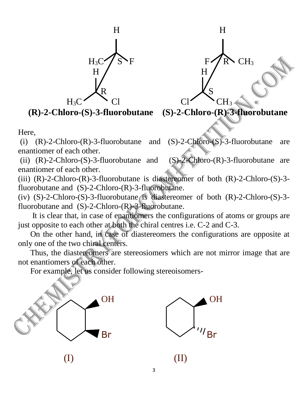

**(R)-2-Chloro-(S)-3-fluorobutane (S)-2-Chloro-(R)-3-fluorobutane**

Here,

(i)  $(R)$ -2-Chloro- $(R)$ -3-fluorobutane and  $(S)$ -2-Chloro- $(S)$ -3-fluorobutane are enantiomer of each other.

(ii)  $(R)$ -2-Chloro- $(S)$ -3-fluorobutane and  $(S)$ -2-Chloro- $(R)$ -3-fluorobutane are enantiomer of each other.

(iii)  $(R)$ -2-Chloro- $(R)$ -3-fluorobutane is diastereomer of both  $(R)$ -2-Chloro- $(S)$ -3fluorobutane and (S)-2-Chloro-(R)-3-fluorobutane.

(iv)  $(S)$ -2-Chloro- $(S)$ -3-fluorobutane is diastereomer of both  $(R)$ -2-Chloro- $(S)$ -3fluorobutane and  $(S)-2-Chloro-(R)-3-fluorobutane$ .

 It is clear that, in case of enantiomers the configurations of atoms or groups are just opposite to each other at both the chiral centres i.e. C-2 and C-3.

 On the other hand, in case of diastereomers the configurations are opposite at only one of the two chiral centers.

 Thus, the diastereomers are stereosiomers which are not mirror image that are not enantiomers of each other.

For example, let us consider following stereoisomers-





 $\qquad \qquad \textbf{(I)}$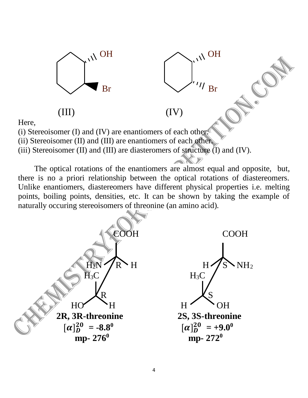

Here,

(i) Stereoisomer (I) and (IV) are enantiomers of each other.

(ii) Stereoisomer (II) and (III) are enantiomers of each other.

(iii) Stereoisomer (II) and (III) are diasteromers of structure  $(I)$  and  $(IV)$ .

 The optical rotations of the enantiomers are almost equal and opposite, but, there is no a priori relationship between the optical rotations of diastereomers. Unlike enantiomers, diastereomers have different physical properties i.e. melting points, boiling points, densities, etc. It can be shown by taking the example of naturally occuring stereoisomers of threonine (an amino acid).

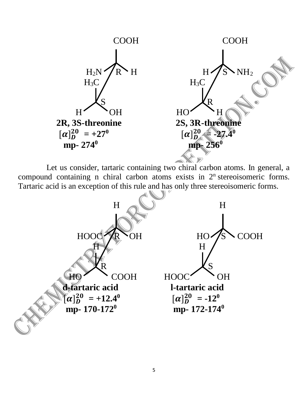

 Let us consider, tartaric containing two chiral carbon atoms. In general, a compound containing n chiral carbon atoms exists in  $2<sup>n</sup>$  stereoisomeric forms. Tartaric acid is an exception of this rule and has only three stereoisomeric forms.